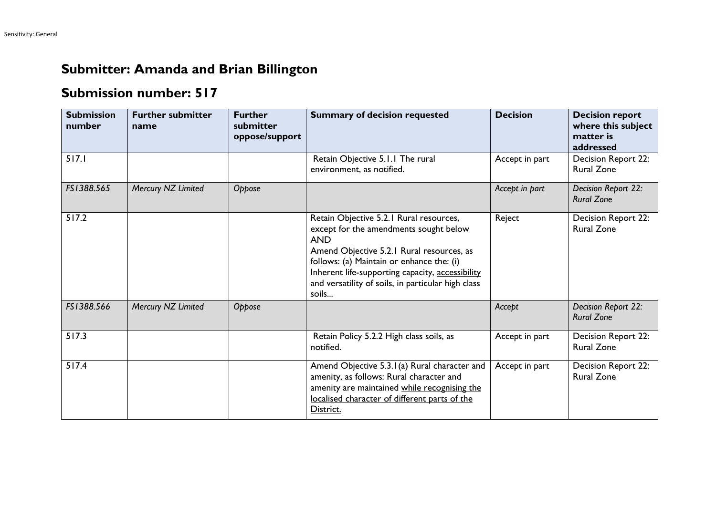## **Submitter: Amanda and Brian Billington**

## **Submission number: 517**

| <b>Submission</b><br>number | <b>Further submitter</b><br>name | <b>Further</b><br>submitter<br>oppose/support | <b>Summary of decision requested</b>                                                                                                                                                                                                                                                                         | <b>Decision</b> | <b>Decision report</b><br>where this subject<br>matter is<br>addressed |
|-----------------------------|----------------------------------|-----------------------------------------------|--------------------------------------------------------------------------------------------------------------------------------------------------------------------------------------------------------------------------------------------------------------------------------------------------------------|-----------------|------------------------------------------------------------------------|
| 517.1                       |                                  |                                               | Retain Objective 5.1.1 The rural<br>environment, as notified.                                                                                                                                                                                                                                                | Accept in part  | Decision Report 22:<br><b>Rural Zone</b>                               |
| FS1388.565                  | Mercury NZ Limited               | Oppose                                        |                                                                                                                                                                                                                                                                                                              | Accept in part  | Decision Report 22:<br><b>Rural Zone</b>                               |
| 517.2                       |                                  |                                               | Retain Objective 5.2.1 Rural resources,<br>except for the amendments sought below<br><b>AND</b><br>Amend Objective 5.2.1 Rural resources, as<br>follows: (a) Maintain or enhance the: (i)<br>Inherent life-supporting capacity, accessibility<br>and versatility of soils, in particular high class<br>soils | Reject          | Decision Report 22:<br><b>Rural Zone</b>                               |
| FS1388.566                  | Mercury NZ Limited               | Oppose                                        |                                                                                                                                                                                                                                                                                                              | Accept          | Decision Report 22:<br><b>Rural Zone</b>                               |
| 517.3                       |                                  |                                               | Retain Policy 5.2.2 High class soils, as<br>notified.                                                                                                                                                                                                                                                        | Accept in part  | Decision Report 22:<br><b>Rural Zone</b>                               |
| 517.4                       |                                  |                                               | Amend Objective 5.3.1(a) Rural character and<br>amenity, as follows: Rural character and<br>amenity are maintained while recognising the<br>localised character of different parts of the<br>District.                                                                                                       | Accept in part  | Decision Report 22:<br><b>Rural Zone</b>                               |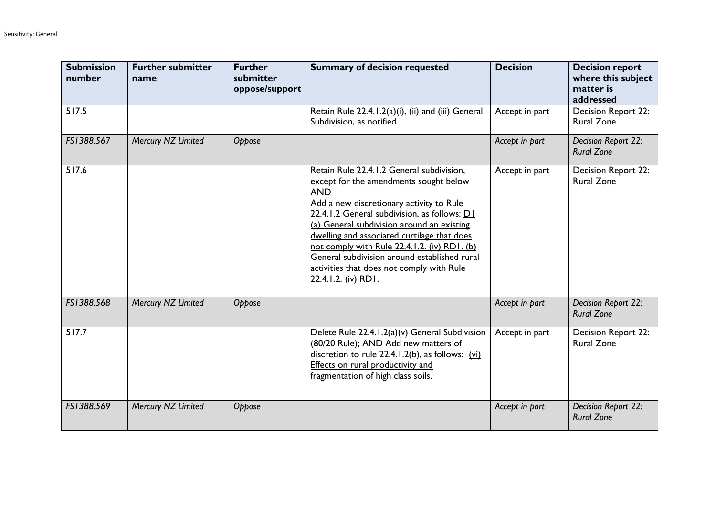| <b>Submission</b><br>number | <b>Further submitter</b><br>name | <b>Further</b><br>submitter<br>oppose/support | <b>Summary of decision requested</b>                                                                                                                                                                                                                                                                                                                                                                                                                           | <b>Decision</b> | <b>Decision report</b><br>where this subject<br>matter is<br>addressed |
|-----------------------------|----------------------------------|-----------------------------------------------|----------------------------------------------------------------------------------------------------------------------------------------------------------------------------------------------------------------------------------------------------------------------------------------------------------------------------------------------------------------------------------------------------------------------------------------------------------------|-----------------|------------------------------------------------------------------------|
| 517.5                       |                                  |                                               | Retain Rule 22.4.1.2(a)(i), (ii) and (iii) General<br>Subdivision, as notified.                                                                                                                                                                                                                                                                                                                                                                                | Accept in part  | Decision Report 22:<br><b>Rural Zone</b>                               |
| FS1388.567                  | Mercury NZ Limited               | Oppose                                        |                                                                                                                                                                                                                                                                                                                                                                                                                                                                | Accept in part  | Decision Report 22:<br><b>Rural Zone</b>                               |
| 517.6                       |                                  |                                               | Retain Rule 22.4.1.2 General subdivision,<br>except for the amendments sought below<br><b>AND</b><br>Add a new discretionary activity to Rule<br>22.4.1.2 General subdivision, as follows: D1<br>(a) General subdivision around an existing<br>dwelling and associated curtilage that does<br>not comply with Rule 22.4.1.2. (iv) RD1. (b)<br>General subdivision around established rural<br>activities that does not comply with Rule<br>22.4.1.2. (iv) RD1. | Accept in part  | Decision Report 22:<br><b>Rural Zone</b>                               |
| FS1388.568                  | Mercury NZ Limited               | Oppose                                        |                                                                                                                                                                                                                                                                                                                                                                                                                                                                | Accept in part  | Decision Report 22:<br><b>Rural Zone</b>                               |
| 517.7                       |                                  |                                               | Delete Rule 22.4.1.2(a)(v) General Subdivision<br>(80/20 Rule); AND Add new matters of<br>discretion to rule 22.4.1.2(b), as follows: (vi)<br><b>Effects on rural productivity and</b><br>fragmentation of high class soils.                                                                                                                                                                                                                                   | Accept in part  | Decision Report 22:<br><b>Rural Zone</b>                               |
| FS1388.569                  | Mercury NZ Limited               | Oppose                                        |                                                                                                                                                                                                                                                                                                                                                                                                                                                                | Accept in part  | Decision Report 22:<br><b>Rural Zone</b>                               |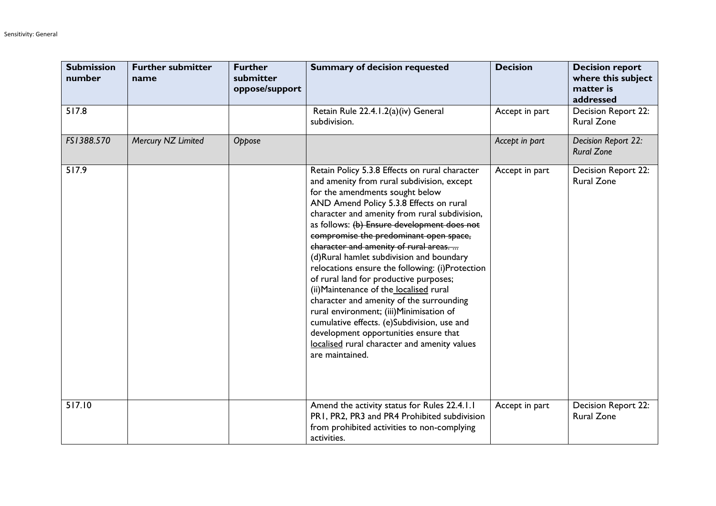| <b>Submission</b><br>number | <b>Further submitter</b><br>name | <b>Further</b><br>submitter<br>oppose/support | <b>Summary of decision requested</b>                                                                                                                                                                                                                                                                                                                                                                                                                                                                                                                                                                                                                                                                                                                                                                | <b>Decision</b> | <b>Decision report</b><br>where this subject<br>matter is<br>addressed |
|-----------------------------|----------------------------------|-----------------------------------------------|-----------------------------------------------------------------------------------------------------------------------------------------------------------------------------------------------------------------------------------------------------------------------------------------------------------------------------------------------------------------------------------------------------------------------------------------------------------------------------------------------------------------------------------------------------------------------------------------------------------------------------------------------------------------------------------------------------------------------------------------------------------------------------------------------------|-----------------|------------------------------------------------------------------------|
| 517.8                       |                                  |                                               | Retain Rule 22.4.1.2(a)(iv) General<br>subdivision.                                                                                                                                                                                                                                                                                                                                                                                                                                                                                                                                                                                                                                                                                                                                                 | Accept in part  | Decision Report 22:<br><b>Rural Zone</b>                               |
| FS1388.570                  | Mercury NZ Limited               | Oppose                                        |                                                                                                                                                                                                                                                                                                                                                                                                                                                                                                                                                                                                                                                                                                                                                                                                     | Accept in part  | Decision Report 22:<br><b>Rural Zone</b>                               |
| 517.9                       |                                  |                                               | Retain Policy 5.3.8 Effects on rural character<br>and amenity from rural subdivision, except<br>for the amendments sought below<br>AND Amend Policy 5.3.8 Effects on rural<br>character and amenity from rural subdivision,<br>as follows: (b) Ensure development does not<br>compromise the predominant open space,<br>character and amenity of rural areas.<br>(d)Rural hamlet subdivision and boundary<br>relocations ensure the following: (i)Protection<br>of rural land for productive purposes;<br>(ii) Maintenance of the localised rural<br>character and amenity of the surrounding<br>rural environment; (iii)Minimisation of<br>cumulative effects. (e)Subdivision, use and<br>development opportunities ensure that<br>localised rural character and amenity values<br>are maintained. | Accept in part  | Decision Report 22:<br><b>Rural Zone</b>                               |
| 517.10                      |                                  |                                               | Amend the activity status for Rules 22.4.1.1<br>PR1, PR2, PR3 and PR4 Prohibited subdivision<br>from prohibited activities to non-complying<br>activities.                                                                                                                                                                                                                                                                                                                                                                                                                                                                                                                                                                                                                                          | Accept in part  | Decision Report 22:<br><b>Rural Zone</b>                               |